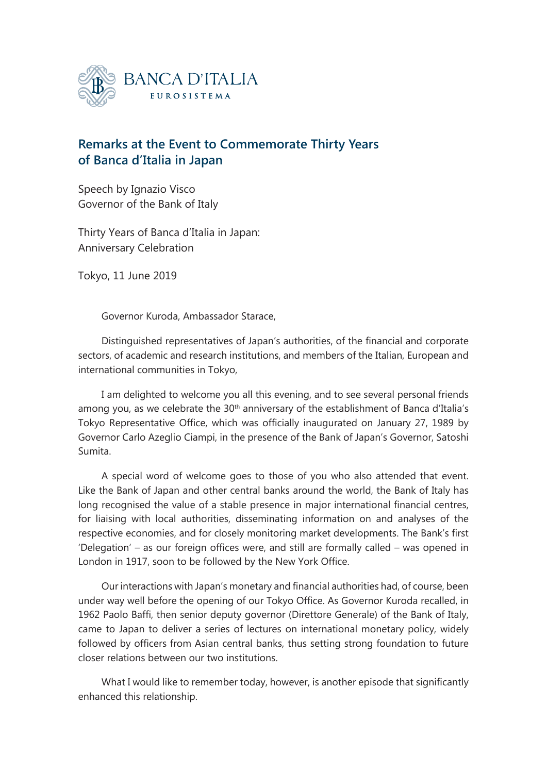

## **Remarks at the Event to Commemorate Thirty Years of Banca d'Italia in Japan**

Speech by Ignazio Visco Governor of the Bank of Italy

Thirty Years of Banca d'Italia in Japan: Anniversary Celebration

Tokyo, 11 June 2019

Governor Kuroda, Ambassador Starace,

Distinguished representatives of Japan's authorities, of the financial and corporate sectors, of academic and research institutions, and members of the Italian, European and international communities in Tokyo,

I am delighted to welcome you all this evening, and to see several personal friends among you, as we celebrate the 30<sup>th</sup> anniversary of the establishment of Banca d'Italia's Tokyo Representative Office, which was officially inaugurated on January 27, 1989 by Governor Carlo Azeglio Ciampi, in the presence of the Bank of Japan's Governor, Satoshi Sumita.

A special word of welcome goes to those of you who also attended that event. Like the Bank of Japan and other central banks around the world, the Bank of Italy has long recognised the value of a stable presence in major international financial centres, for liaising with local authorities, disseminating information on and analyses of the respective economies, and for closely monitoring market developments. The Bank's first 'Delegation' – as our foreign offices were, and still are formally called – was opened in London in 1917, soon to be followed by the New York Office.

Our interactions with Japan's monetary and financial authorities had, of course, been under way well before the opening of our Tokyo Office. As Governor Kuroda recalled, in 1962 Paolo Baffi, then senior deputy governor (Direttore Generale) of the Bank of Italy, came to Japan to deliver a series of lectures on international monetary policy, widely followed by officers from Asian central banks, thus setting strong foundation to future closer relations between our two institutions.

What I would like to remember today, however, is another episode that significantly enhanced this relationship.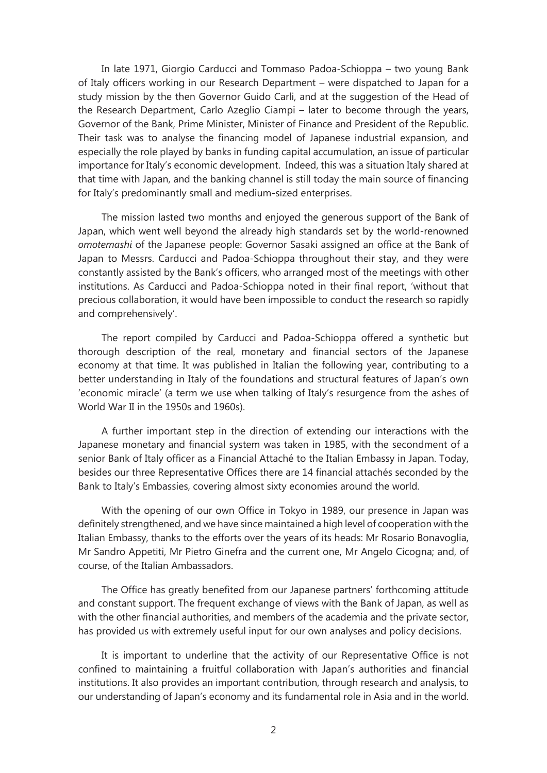In late 1971, Giorgio Carducci and Tommaso Padoa-Schioppa – two young Bank of Italy officers working in our Research Department – were dispatched to Japan for a study mission by the then Governor Guido Carli, and at the suggestion of the Head of the Research Department, Carlo Azeglio Ciampi – later to become through the years, Governor of the Bank, Prime Minister, Minister of Finance and President of the Republic. Their task was to analyse the financing model of Japanese industrial expansion, and especially the role played by banks in funding capital accumulation, an issue of particular importance for Italy's economic development. Indeed, this was a situation Italy shared at that time with Japan, and the banking channel is still today the main source of financing for Italy's predominantly small and medium-sized enterprises.

The mission lasted two months and enjoyed the generous support of the Bank of Japan, which went well beyond the already high standards set by the world-renowned *omotemashi* of the Japanese people: Governor Sasaki assigned an office at the Bank of Japan to Messrs. Carducci and Padoa-Schioppa throughout their stay, and they were constantly assisted by the Bank's officers, who arranged most of the meetings with other institutions. As Carducci and Padoa-Schioppa noted in their final report, 'without that precious collaboration, it would have been impossible to conduct the research so rapidly and comprehensively'.

The report compiled by Carducci and Padoa-Schioppa offered a synthetic but thorough description of the real, monetary and financial sectors of the Japanese economy at that time. It was published in Italian the following year, contributing to a better understanding in Italy of the foundations and structural features of Japan's own 'economic miracle' (a term we use when talking of Italy's resurgence from the ashes of World War II in the 1950s and 1960s).

A further important step in the direction of extending our interactions with the Japanese monetary and financial system was taken in 1985, with the secondment of a senior Bank of Italy officer as a Financial Attaché to the Italian Embassy in Japan. Today, besides our three Representative Offices there are 14 financial attachés seconded by the Bank to Italy's Embassies, covering almost sixty economies around the world.

With the opening of our own Office in Tokyo in 1989, our presence in Japan was definitely strengthened, and we have since maintained a high level of cooperation with the Italian Embassy, thanks to the efforts over the years of its heads: Mr Rosario Bonavoglia, Mr Sandro Appetiti, Mr Pietro Ginefra and the current one, Mr Angelo Cicogna; and, of course, of the Italian Ambassadors.

The Office has greatly benefited from our Japanese partners' forthcoming attitude and constant support. The frequent exchange of views with the Bank of Japan, as well as with the other financial authorities, and members of the academia and the private sector, has provided us with extremely useful input for our own analyses and policy decisions.

It is important to underline that the activity of our Representative Office is not confined to maintaining a fruitful collaboration with Japan's authorities and financial institutions. It also provides an important contribution, through research and analysis, to our understanding of Japan's economy and its fundamental role in Asia and in the world.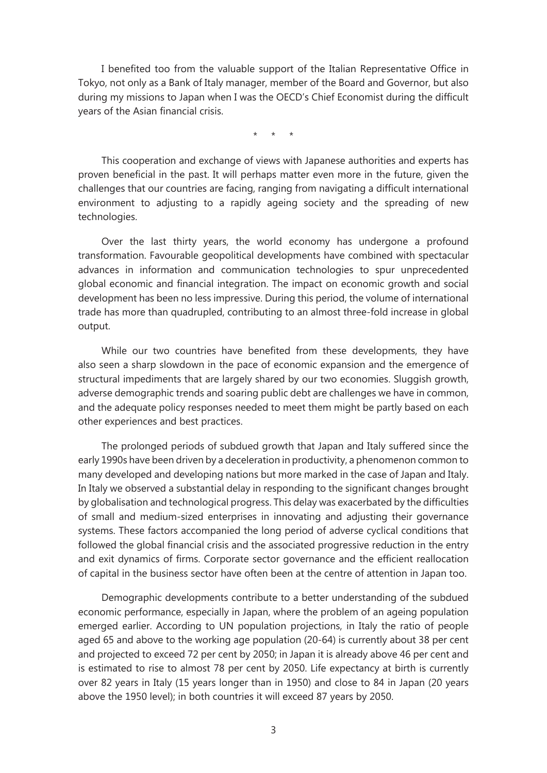I benefited too from the valuable support of the Italian Representative Office in Tokyo, not only as a Bank of Italy manager, member of the Board and Governor, but also during my missions to Japan when I was the OECD's Chief Economist during the difficult years of the Asian financial crisis.

\* \* \*

This cooperation and exchange of views with Japanese authorities and experts has proven beneficial in the past. It will perhaps matter even more in the future, given the challenges that our countries are facing, ranging from navigating a difficult international environment to adjusting to a rapidly ageing society and the spreading of new technologies.

Over the last thirty years, the world economy has undergone a profound transformation. Favourable geopolitical developments have combined with spectacular advances in information and communication technologies to spur unprecedented global economic and financial integration. The impact on economic growth and social development has been no less impressive. During this period, the volume of international trade has more than quadrupled, contributing to an almost three-fold increase in global output.

While our two countries have benefited from these developments, they have also seen a sharp slowdown in the pace of economic expansion and the emergence of structural impediments that are largely shared by our two economies. Sluggish growth, adverse demographic trends and soaring public debt are challenges we have in common, and the adequate policy responses needed to meet them might be partly based on each other experiences and best practices.

The prolonged periods of subdued growth that Japan and Italy suffered since the early 1990s have been driven by a deceleration in productivity, a phenomenon common to many developed and developing nations but more marked in the case of Japan and Italy. In Italy we observed a substantial delay in responding to the significant changes brought by globalisation and technological progress. This delay was exacerbated by the difficulties of small and medium-sized enterprises in innovating and adjusting their governance systems. These factors accompanied the long period of adverse cyclical conditions that followed the global financial crisis and the associated progressive reduction in the entry and exit dynamics of firms. Corporate sector governance and the efficient reallocation of capital in the business sector have often been at the centre of attention in Japan too.

Demographic developments contribute to a better understanding of the subdued economic performance, especially in Japan, where the problem of an ageing population emerged earlier. According to UN population projections, in Italy the ratio of people aged 65 and above to the working age population (20-64) is currently about 38 per cent and projected to exceed 72 per cent by 2050; in Japan it is already above 46 per cent and is estimated to rise to almost 78 per cent by 2050. Life expectancy at birth is currently over 82 years in Italy (15 years longer than in 1950) and close to 84 in Japan (20 years above the 1950 level); in both countries it will exceed 87 years by 2050.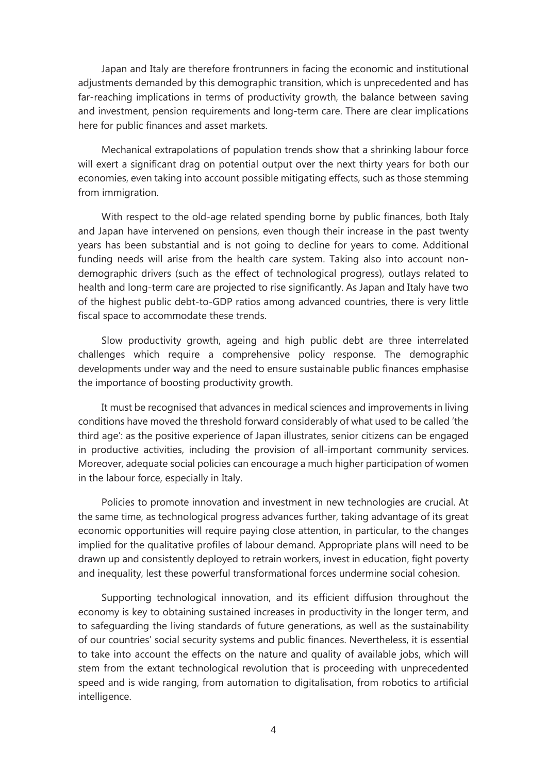Japan and Italy are therefore frontrunners in facing the economic and institutional adjustments demanded by this demographic transition, which is unprecedented and has far-reaching implications in terms of productivity growth, the balance between saving and investment, pension requirements and long-term care. There are clear implications here for public finances and asset markets.

Mechanical extrapolations of population trends show that a shrinking labour force will exert a significant drag on potential output over the next thirty years for both our economies, even taking into account possible mitigating effects, such as those stemming from immigration.

With respect to the old-age related spending borne by public finances, both Italy and Japan have intervened on pensions, even though their increase in the past twenty years has been substantial and is not going to decline for years to come. Additional funding needs will arise from the health care system. Taking also into account nondemographic drivers (such as the effect of technological progress), outlays related to health and long-term care are projected to rise significantly. As Japan and Italy have two of the highest public debt-to-GDP ratios among advanced countries, there is very little fiscal space to accommodate these trends.

Slow productivity growth, ageing and high public debt are three interrelated challenges which require a comprehensive policy response. The demographic developments under way and the need to ensure sustainable public finances emphasise the importance of boosting productivity growth.

It must be recognised that advances in medical sciences and improvements in living conditions have moved the threshold forward considerably of what used to be called 'the third age': as the positive experience of Japan illustrates, senior citizens can be engaged in productive activities, including the provision of all-important community services. Moreover, adequate social policies can encourage a much higher participation of women in the labour force, especially in Italy.

Policies to promote innovation and investment in new technologies are crucial. At the same time, as technological progress advances further, taking advantage of its great economic opportunities will require paying close attention, in particular, to the changes implied for the qualitative profiles of labour demand. Appropriate plans will need to be drawn up and consistently deployed to retrain workers, invest in education, fight poverty and inequality, lest these powerful transformational forces undermine social cohesion.

Supporting technological innovation, and its efficient diffusion throughout the economy is key to obtaining sustained increases in productivity in the longer term, and to safeguarding the living standards of future generations, as well as the sustainability of our countries' social security systems and public finances. Nevertheless, it is essential to take into account the effects on the nature and quality of available jobs, which will stem from the extant technological revolution that is proceeding with unprecedented speed and is wide ranging, from automation to digitalisation, from robotics to artificial intelligence.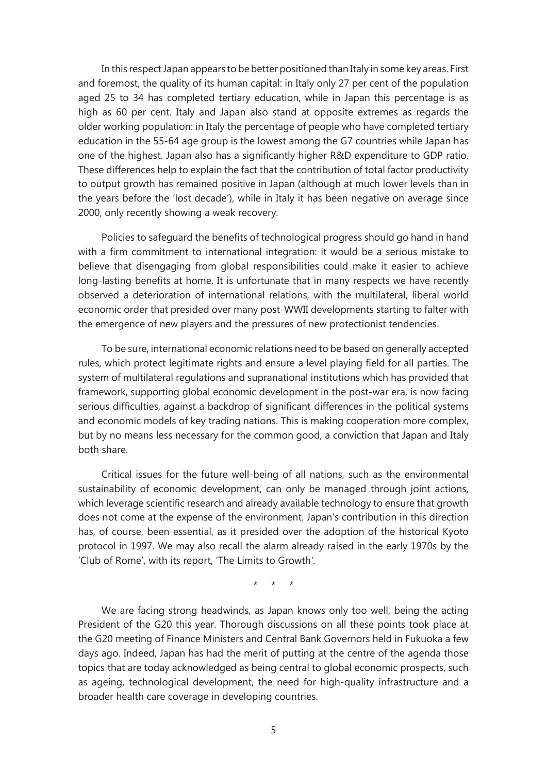In this respect Japan appears to be better positioned than Italy in some key areas. First and foremost, the quality of its human capital: in Italy only 27 per cent of the population aged 25 to 34 has completed tertiary education, while in Japan this percentage is as high as 60 per cent. Italy and Japan also stand at opposite extremes as regards the older working population: in Italy the percentage of people who have completed tertiary education in the 55-64 age group is the lowest among the G7 countries while Japan has one of the highest. Japan also has a significantly higher R&D expenditure to GDP ratio. These differences help to explain the fact that the contribution of total factor productivity to output growth has remained positive in Japan (although at much lower levels than in the years before the 'lost decade'), while in Italy it has been negative on average since 2000, only recently showing a weak recovery.

Policies to safeguard the benefits of technological progress should go hand in hand with a firm commitment to international integration: it would be a serious mistake to believe that disengaging from global responsibilities could make it easier to achieve long-lasting benefits at home. It is unfortunate that in many respects we have recently observed a deterioration of international relations, with the multilateral, liberal world economic order that presided over many post-WWII developments starting to falter with the emergence of new players and the pressures of new protectionist tendencies.

To be sure, international economic relations need to be based on generally accepted rules, which protect legitimate rights and ensure a level playing field for all parties. The system of multilateral regulations and supranational institutions which has provided that framework, supporting global economic development in the post-war era, is now facing serious difficulties, against a backdrop of significant differences in the political systems and economic models of key trading nations. This is making cooperation more complex, but by no means less necessary for the common good, a conviction that Japan and Italy both share.

Critical issues for the future well-being of all nations, such as the environmental sustainability of economic development, can only be managed through joint actions, which leverage scientific research and already available technology to ensure that growth does not come at the expense of the environment. Japan's contribution in this direction has, of course, been essential, as it presided over the adoption of the historical Kyoto protocol in 1997. We may also recall the alarm already raised in the early 1970s by the 'Club of Rome', with its report, 'The Limits to Growth*'*.

\* \* \*

We are facing strong headwinds, as Japan knows only too well, being the acting President of the G20 this year. Thorough discussions on all these points took place at the G20 meeting of Finance Ministers and Central Bank Governors held in Fukuoka a few days ago. Indeed, Japan has had the merit of putting at the centre of the agenda those topics that are today acknowledged as being central to global economic prospects, such as ageing, technological development, the need for high-quality infrastructure and a broader health care coverage in developing countries.